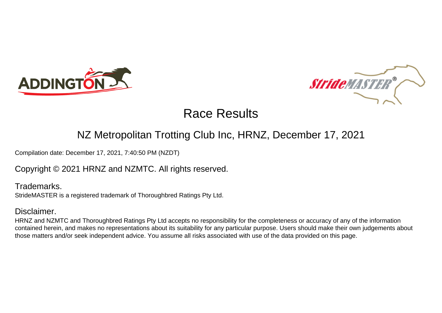



### NZ Metropolitan Trotting Club Inc, HRNZ, December 17, 2021

Compilation date: December 17, 2021, 7:40:50 PM (NZDT)

Copyright © 2021 HRNZ and NZMTC. All rights reserved.

Trademarks. StrideMASTER is a registered trademark of Thoroughbred Ratings Pty Ltd.

### Disclaimer.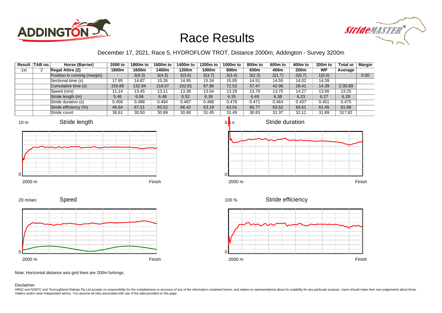



#### December 17, 2021, Race 5, HYDROFLOW TROT, Distance 2000m, Addington - Survey 3200m

|     | Result TAB no. | Horse (Barrier)              | 2000 to | 1800m to | 1600m to | 1400m to | 1200m to | 1000m to | 800m to | 600m to | 400m to          | 200 <sub>m</sub> to | <b>Total or</b> | Margin |
|-----|----------------|------------------------------|---------|----------|----------|----------|----------|----------|---------|---------|------------------|---------------------|-----------------|--------|
| 1st |                | <b>Regal Attire (2)</b>      | 1800m   | 1600m    | 1400m    | 1200m    | 1000m    | 800m     | 600m    | 400m    | 200 <sub>m</sub> | <b>WP</b>           | Average         |        |
|     |                | Position in running (margin) |         | 3(4.3)   | 3(4.3)   | 3(3.6)   | 3(3.7)   | 3(3.4)   | 3(2.3)  | 2(1.7)  | 2(0.7)           | 1(0.0)              |                 | 0.00   |
|     |                | Sectional time (s)           | 17.95   | 14.87    | 15.26    | 14.95    | 15.34    | 15.05    | 14.51   | 14.55   | 14.02            | 14.39               |                 |        |
|     |                | Cumulative time (s)          | 150.89  | 132.94   | 118.07   | 102.81   | 87.86    | 72.52    | 57.47   | 42.96   | 28.41            | 14.39               | 2:30.89         |        |
|     |                | Speed (m/s)                  | 11.14   | 13.45    | 13.11    | 13.38    | 13.04    | 13.29    | 13.78   | 13.75   | 14.27            | 13.90               | 13.25           |        |
|     |                | Stride length (m)            | 5.46    | 6.56     | 6.48     | 6.52     | 6.36     | 6.35     | 6.49    | 6.38    | 6.23             | 6.27                | 6.29            |        |
|     |                | Stride duration (s)          | 0.458   | 0.488    | 0.494    | 0.487    | 0.488    | 0.478    | 0.471   | 0.464   | 0.437            | 0.451               | 0.475           |        |
|     |                | Stride efficiency (%)        | 46.64   | 67.21    | 65.52    | 66.42    | 63.19    | 63.01    | 65.77   | 63.52   | 60.61            | 61.45               | 61.88           |        |
|     |                | Stride count                 | 36.61   | 30.50    | 30.89    | 30.68    | 31.45    | 31.49    | 30.83   | 31.37   | 32.11            | 31.89               | 317.82          |        |









Stride duration

Speed 20 m/sec



2000 m Finish

Stride efficiency 100 %



Note: Horizontal distance axis grid lines are 200m furlongs.

Disclaimer.

0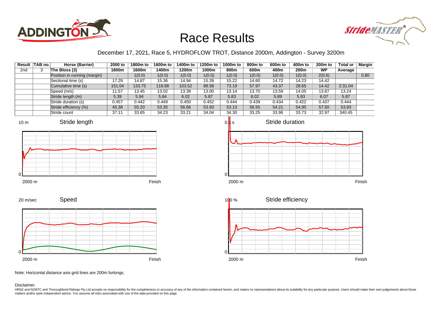



#### December 17, 2021, Race 5, HYDROFLOW TROT, Distance 2000m, Addington - Survey 3200m

|                 | Result TAB no. | Horse (Barrier)              | 2000 to | 1800m to | 1600m to | 1400m to | 1200m to | 1000m to | 800m to | 600m to | 400m to          | 200 <sub>m</sub> to | <b>Total or</b> | Margin |
|-----------------|----------------|------------------------------|---------|----------|----------|----------|----------|----------|---------|---------|------------------|---------------------|-----------------|--------|
| 2 <sub>nd</sub> |                | The Bloss (3)                | 1800m   | 1600m    | 1400m    | 1200m    | 1000m    | 800m     | 600m    | 400m    | 200 <sub>m</sub> | WP                  | Average         |        |
|                 |                | Position in running (margin) |         | 1(0.0)   | 1(0.0)   | 1(0.0)   | 1(0.0)   | 1(0.0)   | 1(0.0)  | 1(0.0)  | 1(0.0)           | 2(0.6)              |                 | 0.80   |
|                 |                | Sectional time (s)           | 17.29   | 14.87    | 15.36    | 14.94    | 15.39    | 15.22    | 14.60   | 14.72   | 14.23            | 14.42               |                 |        |
|                 |                | Cumulative time (s)          | 151.04  | 133.75   | 118.88   | 103.52   | 88.58    | 73.19    | 57.97   | 43.37   | 28.65            | 14.42               | 2:31.04         |        |
|                 |                | Speed (m/s)                  | 11.57   | 13.45    | 13.02    | 13.39    | 13.00    | 13.14    | 13.70   | 13.59   | 14.05            | 13.87               | 13.24           |        |
|                 |                | Stride length (m)            | 5.39    | 5.94     | 5.84     | 6.02     | 5.87     | 5.83     | 6.02    | 5.89    | 5.93             | 6.07                | 5.87            |        |
|                 |                | Stride duration (s)          | 0.457   | 0.442    | 0.449    | 0.450    | 0.452    | 0.444    | 0.439   | 0.434   | 0.422            | 0.437               | 0.444           |        |
|                 |                | Stride efficiency (%)        | 45.38   | 55.20    | 53.35    | 56.66    | 53.93    | 53.13    | 56.55   | 54.21   | 54.95            | 57.50               | 53.93           |        |
|                 |                | Stride count                 | 37.11   | 33.65    | 34.23    | 33.21    | 34.04    | 34.30    | 33.25   | 33.96   | 33.73            | 32.97               | 340.45          |        |











Note: Horizontal distance axis grid lines are 200m furlongs.

Disclaimer.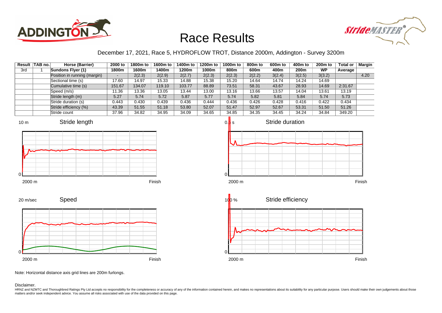



#### December 17, 2021, Race 5, HYDROFLOW TROT, Distance 2000m, Addington - Survey 3200m

|     | Result TAB no. | Horse (Barrier)              | 2000 to | 1800m to | 1600m to | 1400m to | 1200m to | 1000m to | 800m to | 600m to | 400m to | 200 <sub>m</sub> to | <b>Total or</b> | <b>Margin</b> |
|-----|----------------|------------------------------|---------|----------|----------|----------|----------|----------|---------|---------|---------|---------------------|-----------------|---------------|
| 3rd |                | Sundons Flyer (1)            | 1800m   | 1600m    | 1400m    | 1200m    | 1000m    | 800m     | 600m    | 400m    | 200m    | <b>WP</b>           | Average         |               |
|     |                | Position in running (margin) | -       | 2(2.3)   | 2(2.9)   | 2(2.7)   | 2(2.3)   | 2(2.3)   | 2(2.2)  | 3(2.4)  | 3(2.5)  | 3(3.2)              |                 | 4.20          |
|     |                | Sectional time (s)           | 17.60   | 14.97    | 15.33    | 14.88    | 15.38    | 15.20    | 14.64   | 14.74   | 14.24   | 14.69               |                 |               |
|     |                | Cumulative time (s)          | 151.67  | 134.07   | 119.10   | 103.77   | 88.89    | 73.51    | 58.31   | 43.67   | 28.93   | 14.69               | 2:31.67         |               |
|     |                | Speed (m/s)                  | 11.36   | 13.36    | 13.05    | 13.44    | 13.00    | 13.16    | 13.66   | 13.57   | 14.04   | 13.61               | 13.19           |               |
|     |                | Stride length (m)            | 5.27    | 5.74     | 5.72     | 5.87     | 5.77     | 5.74     | 5.82    | 5.81    | 5.84    | 5.74                | 5.73            |               |
|     |                | Stride duration (s)          | 0.443   | 0.430    | 0.439    | 0.436    | 0.444    | 0.436    | 0.426   | 0.428   | 0.416   | 0.422               | 0.434           |               |
|     |                | Stride efficiency (%)        | 43.39   | 51.55    | 51.18    | 53.80    | 52.07    | 51.47    | 52.97   | 52.67   | 53.31   | 51.50               | 51.26           |               |
|     |                | Stride count                 | 37.96   | 34.82    | 34.95    | 34.09    | 34.65    | 34.85    | 34.35   | 34.45   | 34.24   | 34.84               | 349.20          |               |











Note: Horizontal distance axis grid lines are 200m furlongs.

Disclaimer.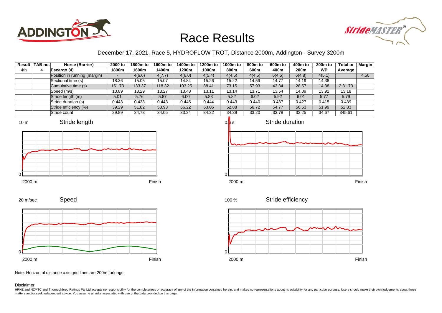



#### December 17, 2021, Race 5, HYDROFLOW TROT, Distance 2000m, Addington - Survey 3200m

|     | Result TAB no. | Horse (Barrier)              | 2000 to | 1800m to | 1600m to | 1400m to | 1200m to | 1000m to | 800m to | 600m to | 400m to | 200 <sub>m</sub> to | <b>Total or</b> | Margin |
|-----|----------------|------------------------------|---------|----------|----------|----------|----------|----------|---------|---------|---------|---------------------|-----------------|--------|
| 4th | 4              | Escargo (4)                  | 1800m   | 1600m    | 1400m    | 1200m    | 1000m    | 800m     | 600m    | 400m    | 200m    | <b>WP</b>           | Average         |        |
|     |                | Position in running (margin) | $\sim$  | 4(6.6)   | 4(7.7)   | 4(6.0)   | 4(5.4)   | 4(4.5)   | 4(4.5)  | 6(4.5)  | 6(4.8)  | 4(5.1)              |                 | 4.50   |
|     |                | Sectional time (s)           | 18.36   | 15.05    | 15.07    | 14.84    | 15.26    | 15.22    | 14.59   | 14.77   | 14.19   | 14.38               |                 |        |
|     |                | Cumulative time (s)          | 151.73  | 133.37   | 118.32   | 103.25   | 88.41    | 73.15    | 57.93   | 43.34   | 28.57   | 14.38               | 2:31.73         |        |
|     |                | Speed (m/s)                  | 10.89   | 13.29    | 13.27    | 13.48    | 13.11    | 13.14    | 13.71   | 13.54   | 14.09   | 13.91               | 13.18           |        |
|     |                | Stride length (m)            | 5.01    | 5.76     | 5.87     | 6.00     | 5.83     | 5.82     | 6.02    | 5.92    | 6.01    | 5.77                | 5.79            |        |
|     |                | Stride duration (s)          | 0.443   | 0.433    | 0.443    | 0.445    | 0.444    | 0.443    | 0.440   | 0.437   | 0.427   | 0.415               | 0.439           |        |
|     |                | Stride efficiency (%)        | 39.29   | 51.82    | 53.93    | 56.22    | 53.06    | 52.88    | 56.72   | 54.77   | 56.53   | 51.99               | 52.33           |        |
|     |                | Stride count                 | 39.89   | 34.73    | 34.05    | 33.34    | 34.32    | 34.38    | 33.20   | 33.78   | 33.25   | 34.67               | 345.61          |        |











Stride efficiency



Note: Horizontal distance axis grid lines are 200m furlongs.

#### Disclaimer.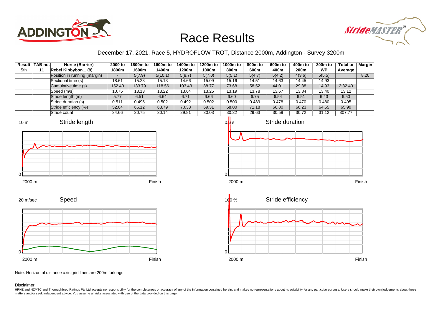



#### December 17, 2021, Race 5, HYDROFLOW TROT, Distance 2000m, Addington - Survey 3200m

|     | Result TAB no. | Horse (Barrier)              | 2000 to | 1800m to | 1600m to | 1400m to | 1200m to | 1000m to | 800m to | 600m to | 400m to | 200 <sub>m</sub> to | <b>Total or</b> | <b>Margin</b> |
|-----|----------------|------------------------------|---------|----------|----------|----------|----------|----------|---------|---------|---------|---------------------|-----------------|---------------|
| 5th | 11             | Rebel Kibbybon (9)           | 1800m   | 1600m    | 1400m    | 1200m    | 1000m    | 800m     | 600m    | 400m    | 200m    | <b>WP</b>           | Average         |               |
|     |                | Position in running (margin) | -       | 5(7.9)   | 5(10.1)  | 5(8.7)   | 5(7.0)   | 5(5.1)   | 5(4.7)  | 5(4.2)  | 4(3.6)  | 5(5.5)              |                 | 8.20          |
|     |                | Sectional time (s)           | 18.61   | 15.23    | 15.13    | 14.66    | 15.09    | 15.16    | 14.51   | 14.63   | 14.45   | 14.93               |                 |               |
|     |                | Cumulative time (s)          | 152.40  | 133.79   | 118.56   | 103.43   | 88.77    | 73.68    | 58.52   | 44.01   | 29.38   | 14.93               | 2:32.40         |               |
|     |                | Speed (m/s)                  | 10.75   | 13.13    | 13.22    | 13.64    | 13.25    | 13.19    | 13.78   | 13.67   | 13.84   | 13.40               | 13.12           |               |
|     |                | Stride length (m)            | 5.77    | 6.51     | 6.64     | 6.71     | 6.66     | 6.60     | 6.75    | 6.54    | 6.51    | 6.43                | 6.50            |               |
|     |                | Stride duration (s)          | 0.511   | 0.495    | 0.502    | 0.492    | 0.502    | 0.500    | 0.489   | 0.478   | 0.470   | 0.480               | 0.495           |               |
|     |                | Stride efficiency (%)        | 52.04   | 66.12    | 68.79    | 70.33    | 69.31    | 68.00    | 71.18   | 66.80   | 66.23   | 64.55               | 65.99           |               |
|     |                | Stride count                 | 34.66   | 30.75    | 30.14    | 29.81    | 30.03    | 30.32    | 29.63   | 30.59   | 30.72   | 31.12               | 307.77          |               |



20 m/sec









Note: Horizontal distance axis grid lines are 200m furlongs.

Disclaimer.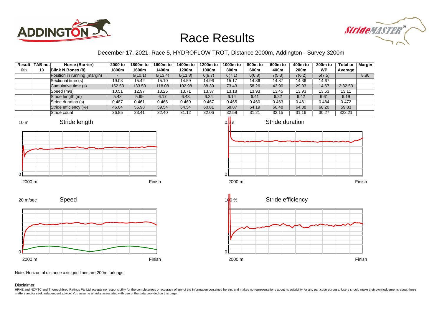



#### December 17, 2021, Race 5, HYDROFLOW TROT, Distance 2000m, Addington - Survey 3200m

|     | Result TAB no. | Horse (Barrier)              | 2000 to | 1800m to | 1600m to | 1400m to | 1200m to | 1000m to | 800 <sub>m</sub> to | 600m to | 400m to | 200 <sub>m</sub> to | <b>Total or</b> | <b>Margin</b> |
|-----|----------------|------------------------------|---------|----------|----------|----------|----------|----------|---------------------|---------|---------|---------------------|-----------------|---------------|
| 6th | 10             | Blink N Bones (8)            | 1800m   | 1600m    | 1400m    | 1200m    | 1000m    | 800m     | 600m                | 400m    | 200m    | <b>WP</b>           | Average         |               |
|     |                | Position in running (margin) | н.      | 6(10.1)  | 6(13.4)  | 6(11.8)  | 6(9.7)   | 6(7.1)   | 6(6.8)              | 7(5.3)  | 7(6.2)  | 6(7.5)              |                 | 8.80          |
|     |                | Sectional time (s)           | 19.03   | 15.42    | 15.10    | 14.59    | 14.96    | 15.17    | 14.36               | 14.87   | 14.36   | 14.67               |                 |               |
|     |                | Cumulative time (s)          | 152.53  | 133.50   | 118.08   | 102.98   | 88.39    | 73.43    | 58.26               | 43.90   | 29.03   | 14.67               | 2:32.53         |               |
|     |                | Speed (m/s)                  | 10.51   | 12.97    | 13.25    | 13.71    | 13.37    | 13.18    | 13.93               | 13.45   | 13.93   | 13.63               | 13.11           |               |
|     |                | Stride length (m)            | 5.43    | 5.99     | 6.17     | 6.43     | 6.24     | 6.14     | 6.41                | 6.22    | 6.42    | 6.61                | 6.19            |               |
|     |                | Stride duration (s)          | 0.487   | 0.461    | 0.466    | 0.469    | 0.467    | 0.465    | 0.460               | 0.463   | 0.461   | 0.484               | 0.472           |               |
|     |                | Stride efficiency (%)        | 46.04   | 55.98    | 59.54    | 64.54    | 60.81    | 58.87    | 64.19               | 60.48   | 64.38   | 68.20               | 59.83           |               |
|     |                | Stride count                 | 36.85   | 33.41    | 32.40    | 31.12    | 32.06    | 32.58    | 31.21               | 32.15   | 31.16   | 30.27               | 323.21          |               |











Note: Horizontal distance axis grid lines are 200m furlongs.

Disclaimer.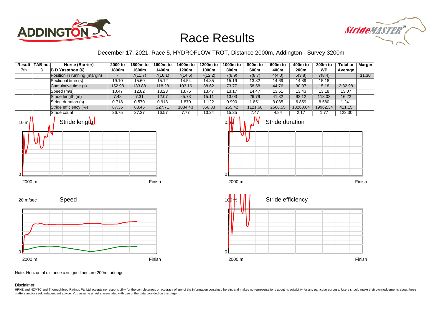



#### December 17, 2021, Race 5, HYDROFLOW TROT, Distance 2000m, Addington - Survey 3200m

|                 | Result TAB no. | Horse (Barrier)              | 2000 to        | 1800m to | 1600m to | 1400m to | 1200m to | 1000m to       | 800 <sub>m</sub> to | 600m to           | 400m to  | 200 <sub>m</sub> to | Total or | <b>Margin</b> |
|-----------------|----------------|------------------------------|----------------|----------|----------|----------|----------|----------------|---------------------|-------------------|----------|---------------------|----------|---------------|
| 7th             | 8              | B D Yasothon (6)             | 1800m          | 1600m    | 1400m    | 1200m    | 1000m    | 800m           | 600m                | 400m              | 200m     | <b>WP</b>           | Average  |               |
|                 |                | Position in running (margin) | $\blacksquare$ | 7(11.7)  | 7(16.1)  | 7(14.6)  | 7(12.2)  | 7(8.9)         | 7(8.7)              | 4(4.0)            | 5(3.8)   | 7(8.4)              |          | 11.30         |
|                 |                | Sectional time (s)           | 19.10          | 15.60    | 15.12    | 14.54    | 14.85    | 15.19          | 13.82               | 14.69             | 14.89    | 15.18               |          |               |
|                 |                | Cumulative time (s)          | 152.98         | 133.88   | 118.28   | 103.16   | 88.62    | 73.77          | 58.58               | 44.76             | 30.07    | 15.18               | 2:32.98  |               |
|                 |                | Speed (m/s)                  | 10.47          | 12.82    | 13.23    | 13.76    | 13.47    | 13.17          | 14.47               | 13.61             | 13.43    | 13.18               | 13.07    |               |
|                 |                | Stride length (m)            | 7.48           | 7.31     | 12.07    | 25.73    | 15.11    | 13.03          | 26.79               | 41.32             | 92.12    | 113.02              | 16.22    |               |
|                 |                | Stride duration (s)          | 0.718          | 0.570    | 0.913    | 1.870    | 1.122    | 0.990          | 1.851               | 3.035             | 6.859    | 8.580               | 1.241    |               |
|                 |                | Stride efficiency (%)        | 87.36          | 83.45    | 227.71   | 1034.43  | 356.83   | 265.42         | 1121.60             | 2668.55           | 13260.64 | 19962.34            | 411.15   |               |
|                 |                | Stride count                 | 26.75          | 27.37    | 16.57    | 7.77     | 13.24    | 15.35          | 7.47                | 4.84              | 2.17     | 1.77                | 123.30   |               |
| 10 <sub>m</sub> |                | Stride length                |                |          |          |          |          | $0.\mathbf{b}$ |                     | Stride duration   |          |                     |          |               |
| 0               |                |                              |                |          |          |          |          |                |                     |                   |          |                     |          |               |
| 2000 m          |                |                              |                |          | Finish   |          |          | 2000 m         |                     |                   |          |                     |          | Finish        |
| 20 m/sec<br>O   |                | Speed                        |                |          |          |          |          | U              |                     | Stride efficiency |          |                     |          |               |
| 2000 m          |                |                              |                |          | Finish   |          |          | 2000 m         |                     |                   |          |                     |          | Finish        |

Note: Horizontal distance axis grid lines are 200m furlongs.

Disclaimer.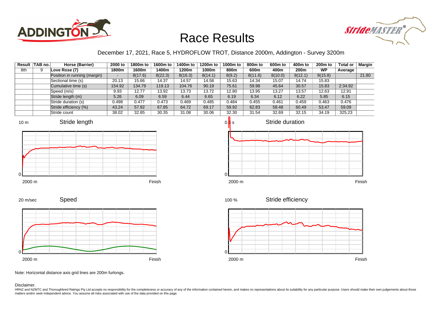



#### December 17, 2021, Race 5, HYDROFLOW TROT, Distance 2000m, Addington - Survey 3200m

|     | Result TAB no. | Horse (Barrier)              | 2000 to | 1800m to | 1600m to | 1400m to | 1200m to | 1000m to | 800m to | 600m to | 400m to          | 200 <sub>m</sub> to | <b>Total or</b> | Margin |
|-----|----------------|------------------------------|---------|----------|----------|----------|----------|----------|---------|---------|------------------|---------------------|-----------------|--------|
| 8th |                | Love Rose (7)                | 1800m   | 1600m    | 1400m    | 1200m    | 1000m    | 800m     | 600m    | 400m    | 200 <sub>m</sub> | <b>WP</b>           | Average         |        |
|     |                | Position in running (margin) | -       | 8(17.6)  | 8(22.3)  | 8(16.3)  | 8(14.1)  | 8(9.2)   | 8(11.6) | 8(10.0) | 8(12.1)          | 8(15.8)             |                 | 21.80  |
|     |                | Sectional time (s)           | 20.13   | 15.66    | 14.37    | 14.57    | 14.58    | 15.63    | 14.34   | 15.07   | 14.74            | 15.83               |                 |        |
|     |                | Cumulative time (s)          | 154.92  | 134.79   | 119.13   | 104.76   | 90.19    | 75.61    | 59.98   | 45.64   | 30.57            | 15.83               | 2:34.92         |        |
|     |                | Speed (m/s)                  | 9.93    | 12.77    | 13.92    | 13.73    | 13.72    | 12.80    | 13.95   | 13.27   | 13.57            | 12.63               | 12.91           |        |
|     |                | Stride length (m)            | 5.26    | 6.09     | 6.59     | 6.44     | 6.65     | 6.19     | 6.34    | 6.12    | 6.22             | 5.85                | 6.15            |        |
|     |                | Stride duration (s)          | 0.498   | 0.477    | 0.473    | 0.469    | 0.485    | 0.484    | 0.455   | 0.461   | 0.459            | 0.463               | 0.476           |        |
|     |                | Stride efficiency (%)        | 43.24   | 57.92    | 67.85    | 64.72    | 69.17    | 59.92    | 62.83   | 58.48   | 60.49            | 53.47               | 59.09           |        |
|     |                | Stride count                 | 38.02   | 32.85    | 30.35    | 31.08    | 30.06    | 32.30    | 31.54   | 32.69   | 32.15            | 34.19               | 325.23          |        |

















Note: Horizontal distance axis grid lines are 200m furlongs.

#### Disclaimer.